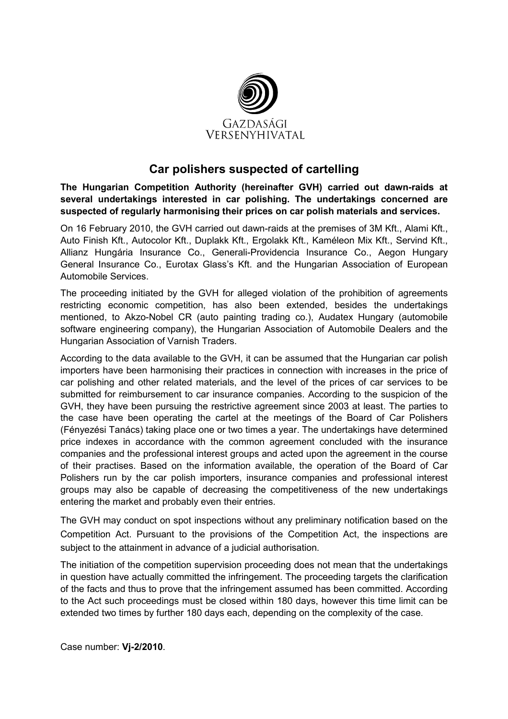

## Car polishers suspected of cartelling

The Hungarian Competition Authority (hereinafter GVH) carried out dawn-raids at several undertakings interested in car polishing. The undertakings concerned are suspected of regularly harmonising their prices on car polish materials and services.

On 16 February 2010, the GVH carried out dawn-raids at the premises of 3M Kft., Alami Kft., Auto Finish Kft., Autocolor Kft., Duplakk Kft., Ergolakk Kft., Kaméleon Mix Kft., Servind Kft., Allianz Hungária Insurance Co., Generali-Providencia Insurance Co., Aegon Hungary General Insurance Co., Eurotax Glass's Kft. and the Hungarian Association of European Automobile Services.

The proceeding initiated by the GVH for alleged violation of the prohibition of agreements restricting economic competition, has also been extended, besides the undertakings mentioned, to Akzo-Nobel CR (auto painting trading co.), Audatex Hungary (automobile software engineering company), the Hungarian Association of Automobile Dealers and the Hungarian Association of Varnish Traders.

According to the data available to the GVH, it can be assumed that the Hungarian car polish importers have been harmonising their practices in connection with increases in the price of car polishing and other related materials, and the level of the prices of car services to be submitted for reimbursement to car insurance companies. According to the suspicion of the GVH, they have been pursuing the restrictive agreement since 2003 at least. The parties to the case have been operating the cartel at the meetings of the Board of Car Polishers (Fényezési Tanács) taking place one or two times a year. The undertakings have determined price indexes in accordance with the common agreement concluded with the insurance companies and the professional interest groups and acted upon the agreement in the course of their practises. Based on the information available, the operation of the Board of Car Polishers run by the car polish importers, insurance companies and professional interest groups may also be capable of decreasing the competitiveness of the new undertakings entering the market and probably even their entries.

The GVH may conduct on spot inspections without any preliminary notification based on the Competition Act. Pursuant to the provisions of the Competition Act, the inspections are subject to the attainment in advance of a judicial authorisation.

The initiation of the competition supervision proceeding does not mean that the undertakings in question have actually committed the infringement. The proceeding targets the clarification of the facts and thus to prove that the infringement assumed has been committed. According to the Act such proceedings must be closed within 180 days, however this time limit can be extended two times by further 180 days each, depending on the complexity of the case.

Case number: Vj-2/2010.